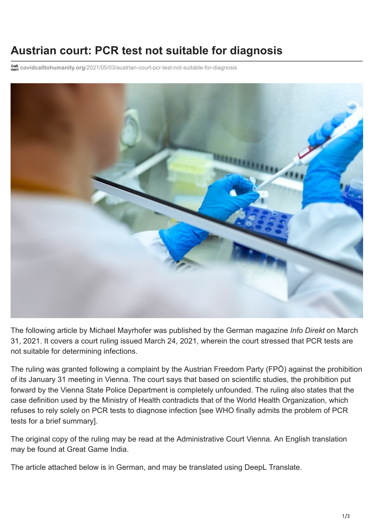# **Austrian court: PCR test not suitable for diagnosis**

**covidcalltohumanity.org**[/2021/05/03/austrian-court-pcr-test-not-suitable-for-diagnosis](https://covidcalltohumanity.org/2021/05/03/austrian-court-pcr-test-not-suitable-for-diagnosis/)



The following article by Michael Mayrhofer was published by the German magazine *Info Direkt* on March 31, 2021. It covers a court ruling issued March 24, 2021, wherein the court stressed that PCR tests are not suitable for determining infections.

The ruling was granted following a complaint by the Austrian Freedom Party (FPÖ) against the prohibition of its January 31 meeting in Vienna. The court says that based on scientific studies, the prohibition put forward by the Vienna State Police Department is completely unfounded. The ruling also states that the case definition used by the Ministry of Health contradicts that of the World Health Organization, which [refuses to rely solely on PCR tests to diagnose infection \[see WHO finally admits the problem of PCR](https://covidcalltohumanity.org/2021/01/09/who-finally-admits-the-problem-of-pcr-tests/) tests for a brief summary].

The original copy of the ruling may be read at the [Administrative Court Vienna.](https://wp.tagesstimme.com/wp-content/uploads/2021/03/Verwaltungsgericht_FPOe-Versammlung.pdf) An English translation may be found at [Great Game India.](https://greatgameindia.com/austria-court-pcr-test/)

The article attached below is in German, and may be translated using [DeepL Translate.](https://www.deepl.com/translator)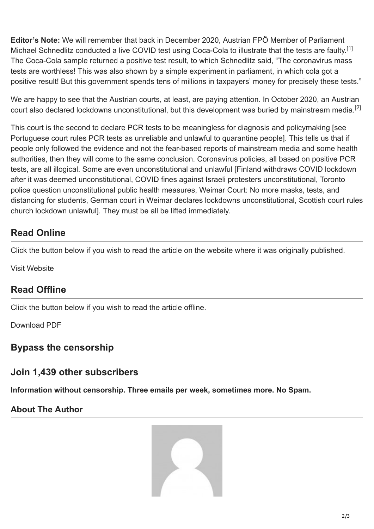**Editor's Note:** We will remember that back in December 2020, Austrian FPÖ Member of Parliament Michael Schnedlitz conducted a live COVID test using Coca-Cola to illustrate that the tests are faulty.<sup>[1]</sup> The Coca-Cola sample returned a positive test result, to which Schnedlitz said, "The coronavirus mass tests are worthless! This was also shown by a simple experiment in parliament, in which cola got a positive result! But this government spends tens of millions in taxpayers' money for precisely these tests."

We are happy to see that the Austrian courts, at least, are paying attention. In October 2020, an Austrian court also declared lockdowns unconstitutional, but this development was buried by mainstream media.<sup>[2]</sup>

This court is the second to declare PCR tests to be meaningless for diagnosis and policymaking [see [Portuguese court rules PCR tests as unreliable and unlawful to quarantine people](https://covidcalltohumanity.org/2020/11/25/portugese-court-rules-pcr-tests-as-unreliable-and-unlawful-to-quarantine-people/)]. This tells us that if people only followed the evidence and not the fear-based reports of mainstream media and some health authorities, then they will come to the same conclusion. Coronavirus policies, all based on positive PCR [tests, are all illogical. Some are even unconstitutional and unlawful \[Finland withdraws COVID lockdown](https://covidcalltohumanity.org/2021/04/05/finland-withdraws-covid-lockdown-after-it-was-deemed-unconstitutional/) [after it was deemed unconstitutional, COVID fines against Israeli protesters unconstitutional, Toronto](https://covidcalltohumanity.org/2021/03/27/toronto-police-question-unconstitutional-public-health-measures/) [police question unconstitutional public health measures, Weimar Court: No more masks, tests, and](https://covidcalltohumanity.org/2021/04/15/weimar-court-no-more-masks-tests-and-distancing-for-students/) [distancing for students, German court in Weimar declares lockdowns unconstitutional, Scottish court rules](https://covidcalltohumanity.org/2021/04/05/scottish-court-rules-church-lockdown-unlawful/) church lockdown unlawful]. They must be all be lifted immediately.

## **Read Online**

Click the button below if you wish to read the article on the website where it was originally published.

[Visit Website](https://www.info-direkt.eu/2021/03/31/oesterreichisches-gericht-kippt-urteil-pcr-test-nicht-zur-diagnostik-geeignet/)

## **Read Offline**

Click the button below if you wish to read the article offline.

[Download PDF](https://covidcalltohumanity.org/wp-content/uploads/2021/05/Info-Direkt_Austrian-court-overturns-judgment-PCR-test-not-suitable-for-diagnosis.pdf)

## **Bypass the censorship**

### **Join 1,439 other subscribers**

**Information without censorship. Three emails per week, sometimes more. No Spam.**

#### **About The Author**